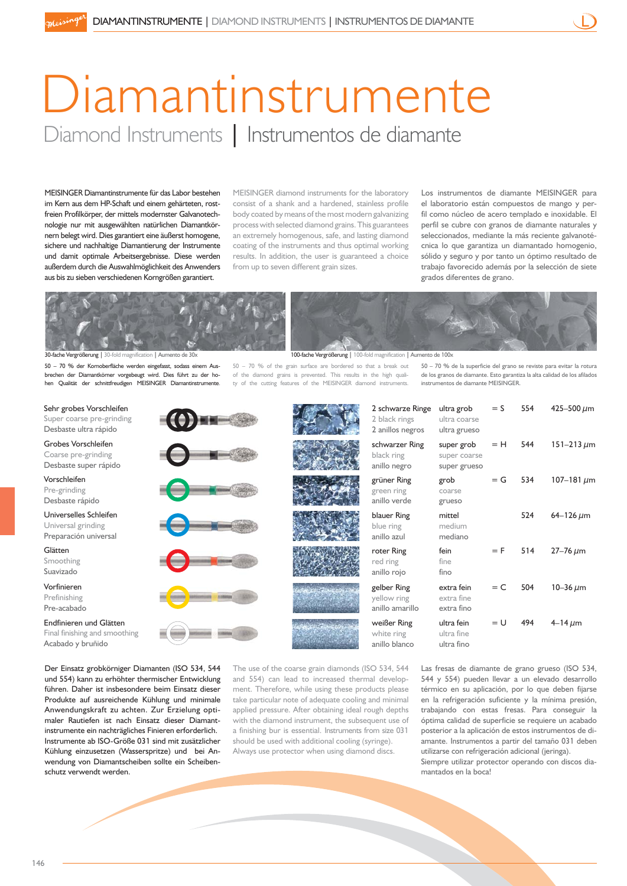## Diamantinstrumente Diamond Instruments | Instrumentos de diamante

MEISINGER Diamantinstrumente für das Labor bestehen im Kern aus dem HP-Schaft und einem gehärteten, rostfreien Profilkörper, der mittels modernster Galvanotechnologie nur mit ausgewählten natürlichen Diamantkörnern belegt wird. Dies garantiert eine äußerst homogene, sichere und nachhaltige Diamantierung der Instrumente und damit optimale Arbeitsergebnisse. Diese werden außerdem durch die Auswahlmöglichkeit des Anwenders aus bis zu sieben verschiedenen Korngrößen garantiert.

MEISINGER diamond instruments for the laboratory consist of a shank and a hardened, stainless profile body coated by means of the most modern galvanizing process with selected diamond grains. This guarantees an extremely homogenous, safe, and lasting diamond coating of the instruments and thus optimal working results. In addition, the user is guaranteed a choice from up to seven different grain sizes.

50 – 70 % of the grain surface are bordered so that a break out of the diamond grains is prevented. This results in the high quality of the cutting features of the MEISINGER diamond instruments.

Los instrumentos de diamante MEISINGER para el laboratorio están compuestos de mango y perfil como núcleo de acero templado e inoxidable. El perfil se cubre con granos de diamante naturales y seleccionados, mediante la más reciente galvanotécnica lo que garantiza un diamantado homogenio, sólido y seguro y por tanto un óptimo resultado de trabajo favorecido además por la selección de siete grados diferentes de grano.



30-fache Vergrößerung | 30-fold magnification | Aumento de 30x 100-fache Vergrößerung | 100-fold magnification | Aumento de 100x

50 – 70 % der Kornoberfläche werden eingefasst, sodass einem Ausbrechen der Diamantkörner vorgebeugt wird. Dies führt zu der hohen Qualität der schnittfreudigen MEISINGER Diamantinstrumente.

## Sehr grobes Vorschleifen Super coarse pre-grinding

Desbaste ultra rápido

Grobes Vorschleifen Coarse pre-grinding Desbaste super rápido

Vorschleifen Pre-grinding Desbaste rápido

Universelles Schleifen

Universal grinding Preparación universal

Glätten Smoothing

Suavizado

Vorfinieren Prefinishing Pre-acabado

Endfinieren und Glätten Final finishing and smoothing Acabado y bruñido

Der Einsatz grobkörniger Diamanten (ISO 534, 544 und 554) kann zu erhöhter thermischer Entwicklung führen. Daher ist insbesondere beim Einsatz dieser Produkte auf ausreichende Kühlung und minimale Anwendungskraft zu achten. Zur Erzielung optimaler Rautiefen ist nach Einsatz dieser Diamantinstrumente ein nachträgliches Finieren erforderlich. Instrumente ab ISO-Größe 031 sind mit zusätzlicher Kühlung einzusetzen (Wasserspritze) und bei Anwendung von Diamantscheiben sollte ein Scheibenschutz verwendt werden.



The use of the coarse grain diamonds (ISO 534, 544 and 554) can lead to increased thermal development. Therefore, while using these products please take particular note of adequate cooling and minimal applied pressure. After obtaining ideal rough depths with the diamond instrument, the subsequent use of a finishing bur is essential. Instruments from size 031 should be used with additional cooling (syringe). Always use protector when using diamond discs.

Las fresas de diamante de grano grueso (ISO 534, 544 y 554) pueden llevar a un elevado desarrollo térmico en su aplicación, por lo que deben fijarse en la refrigeración suficiente y la mínima presión, trabajando con estas fresas. Para conseguir la óptima calidad de superficie se requiere un acabado

amante. Instrumentos a partir del tamaño 031 deben utilizarse con refrigeración adicional (jeringa). Siempre utilizar protector operando con discos diamantados en la boca!

posterior a la aplicación de estos instrumentos de di-

50 – 70 % de la superficie del grano se reviste para evitar la rotura de los granos de diamante. Esto garantiza la alta calidad de los afilados instrumentos de diamante MEISINGER.

| 2 black rings<br>2 anillos negros             | ultra coarse<br>ultra grueso               |       |     |                    |
|-----------------------------------------------|--------------------------------------------|-------|-----|--------------------|
| schwarzer Ring<br>black ring<br>anillo negro  | super grob<br>super coarse<br>super grueso | = H   | 544 | 151–213 $\mu$ m    |
| grüner Ring<br>green ring<br>anillo verde     | grob<br>coarse<br>grueso                   | $= G$ | 534 | 107–181 μm         |
| blauer Ring<br>blue ring<br>anillo azul       | mittel<br>medium<br>mediano                |       | 524 | $64 - 126 \,\mu m$ |
| roter Ring<br>red ring<br>anillo rojo         | fein<br>fine<br>fino                       | $=$ F | 514 | $27 - 76 \mu m$    |
| gelber Ring<br>yellow ring<br>anillo amarillo | extra fein<br>extra fine<br>extra fino     | $= C$ | 504 | 10–36 µm           |
| weißer Ring<br>white ring<br>anillo blanco    | ultra fein<br>ultra fine<br>ultra fino     | $= U$ | 494 | $4 - 14 \mu m$     |
|                                               |                                            |       |     |                    |

2 schwarze Ringe ultra grob = S  $554$  425–500  $\mu$ m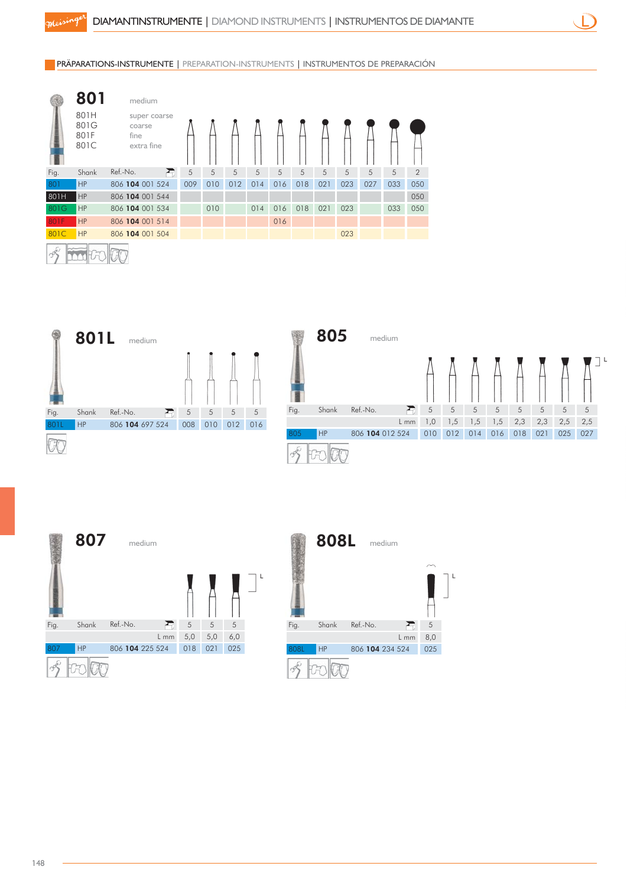PRÄPARATIONS-INSTRUMENTE | PREPARATION-INSTRUMENTS | INSTRUMENTOS DE PREPARACIÓN

|      | 801                          | medium                                       |     |     |     |     |     |     |     |     |     |     |                |
|------|------------------------------|----------------------------------------------|-----|-----|-----|-----|-----|-----|-----|-----|-----|-----|----------------|
|      | 801H<br>801G<br>801F<br>801C | super coarse<br>coarse<br>fine<br>extra fine |     |     |     |     |     |     |     |     |     |     |                |
| Fig. | Shank                        | Ref.-No.                                     | 5   | 5   | 5   | 5   | 5   | 5   | 5   | 5   | 5   | 5   | $\overline{2}$ |
| 801  | HP                           | 806 104 001 524                              | 009 | 010 | 012 | 014 | 016 | 018 | 021 | 023 | 027 | 033 | 050            |
| 801H | <b>HP</b>                    | 806 104 001 544                              |     |     |     |     |     |     |     |     |     |     | 050            |
| 801G | <b>HP</b>                    | 806 104 001 534                              |     | 010 |     | 014 | 016 | 018 | 021 | 023 |     | 033 | 050            |
| 801F | HP                           | 806 104 001 514                              |     |     |     |     | 016 |     |     |     |     |     |                |
| 801C | HP                           | 806 104 001 504                              |     |     |     |     |     |     |     | 023 |     |     |                |
|      |                              |                                              |     |     |     |     |     |     |     |     |     |     |                |







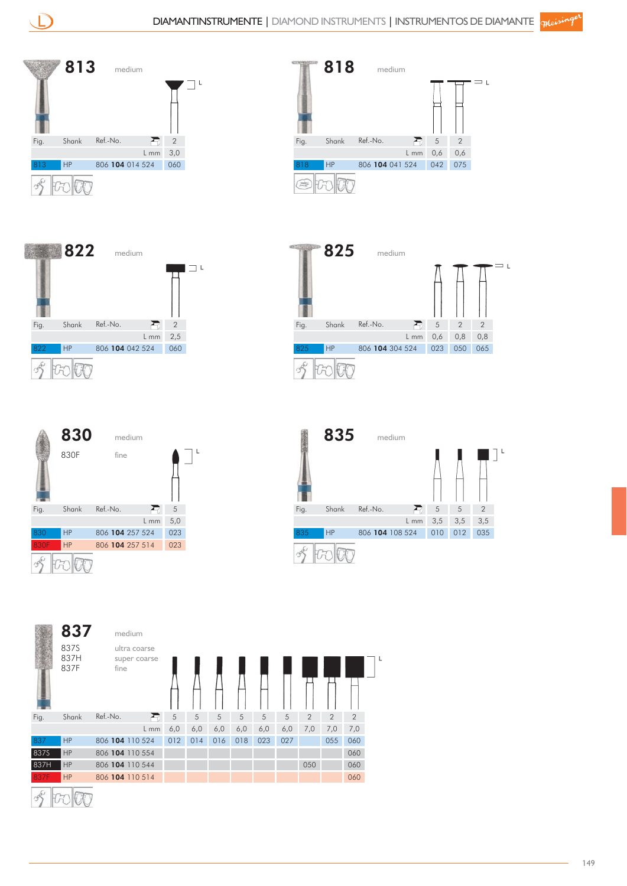











|      | 837                  | medium                               |        |     |     |     |     |     |     |                |                |                |   |
|------|----------------------|--------------------------------------|--------|-----|-----|-----|-----|-----|-----|----------------|----------------|----------------|---|
|      | 837S<br>837H<br>837F | ultra coarse<br>super coarse<br>fine |        |     |     |     |     |     |     |                |                |                | L |
| Fig. | Shank                | Ref.-No.                             | Ð      | 5   | 5   | 5   | 5   | 5   | 5   | $\overline{2}$ | $\overline{2}$ | $\overline{2}$ |   |
|      |                      |                                      | $L$ mm | 6,0 | 6,0 | 6,0 | 6,0 | 6,0 | 6,0 | 7,0            | 7,0            | 7,0            |   |
| 837  | <b>HP</b>            | 806 104 110 524                      |        | 012 | 014 | 016 | 018 | 023 | 027 |                | 055            | 060            |   |
| 837S | HP                   | 806 104 110 554                      |        |     |     |     |     |     |     |                |                | 060            |   |
| 837H | <b>HP</b>            | 806 104 110 544                      |        |     |     |     |     |     |     | 050            |                | 060            |   |
| 837F | HP                   | 806 104 110 514                      |        |     |     |     |     |     |     |                |                | 060            |   |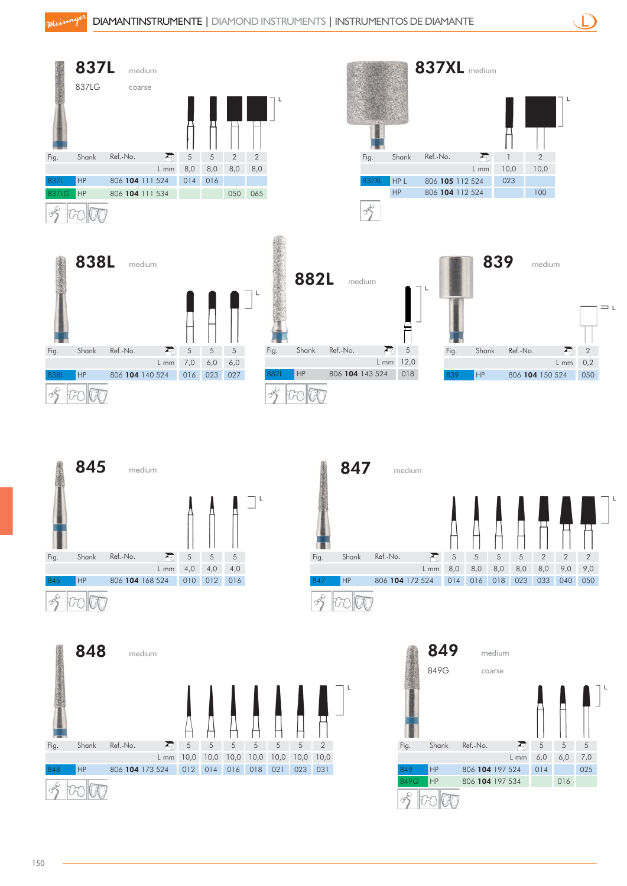| Fig.<br>337LG | 837L<br>837LG<br>Shank<br>HP<br>HP | medium<br>coarse<br>Ref.-No.<br>806 104 111 524<br>806 104 111 534 | Ð<br>$\sqrt{5}$<br>8,0<br>$L$ mm | $\sqrt{5}$<br>8,0<br>014 016 | $\overline{2}$<br>8,0<br>050 | $\mathbf{2}$<br>8,0<br>065 |            |               | Fig.<br>837XL<br>$\infty$ | Shank<br>HPL<br>HP | 837XL medium<br>Ref.-No. | 806 105 112 524<br>806 104 112 524 | R<br>$L$ mm | 10,0<br>023     | $\mathbf{2}$<br>10,0<br>100 | 1 L            |                |       |
|---------------|------------------------------------|--------------------------------------------------------------------|----------------------------------|------------------------------|------------------------------|----------------------------|------------|---------------|---------------------------|--------------------|--------------------------|------------------------------------|-------------|-----------------|-----------------------------|----------------|----------------|-------|
| Fig.          | 838L<br>Shank                      | medium<br>Ref.-No.                                                 | Æ<br>$\mathfrak s$               | $\sqrt{5}$                   | $\overline{5}$               |                            | Fig.       | 882L<br>Shank | medium<br>Ref.-No.        | 盈                  | E<br>$\sqrt{5}$          | Fig.                               | Shank       | 839<br>Ref.-No. | medium                      |                | $\overline{2}$ | $=$ L |
|               |                                    |                                                                    | $L$ mm<br>7,0                    | 6,0                          | 6,0                          |                            |            |               |                           | $L$ mm $12,0$      |                          |                                    |             |                 |                             | L mm           | 0,2            |       |
|               | HP                                 | 806 104 140 524                                                    | 016                              | 023                          | 027                          |                            | HP<br>882L |               | 806 104 143 524           |                    | 018                      | 839                                | HP          |                 | 806 104 150 524             |                | 050            |       |
|               | 845                                | medium                                                             |                                  |                              |                              |                            |            |               | 847                       |                    | medium                   |                                    |             |                 |                             |                |                |       |
| Fig.          | Shank                              | Ref.-No.                                                           | Ð<br>$\sqrt{5}$                  | $\sqrt{5}$                   | $\sqrt{5}$                   |                            |            | Fig.          | Shank                     | Ref.-No.           | R                        | $\,$ 5 $\,$                        | 5           | 5<br>5          | $\mathbf{2}$                | $\overline{2}$ | $\overline{2}$ |       |
|               |                                    |                                                                    | $L$ mm<br>4,0                    | 4,0                          | 4,0                          |                            |            |               |                           |                    | L mm                     | 8,0                                | 8,0         | 8,0<br>8,0      | 8,0                         | 9,0            | 9,0            |       |
| 845           | HP                                 | 806 104 168 524                                                    | 010                              | 012                          | 016                          |                            |            | 847           | HP                        | 806 104 172 524    |                          | 014                                | 016         | 018<br>023      | 033                         | 040            | 050            |       |

 $\overline{v}$ 

S



Foolog

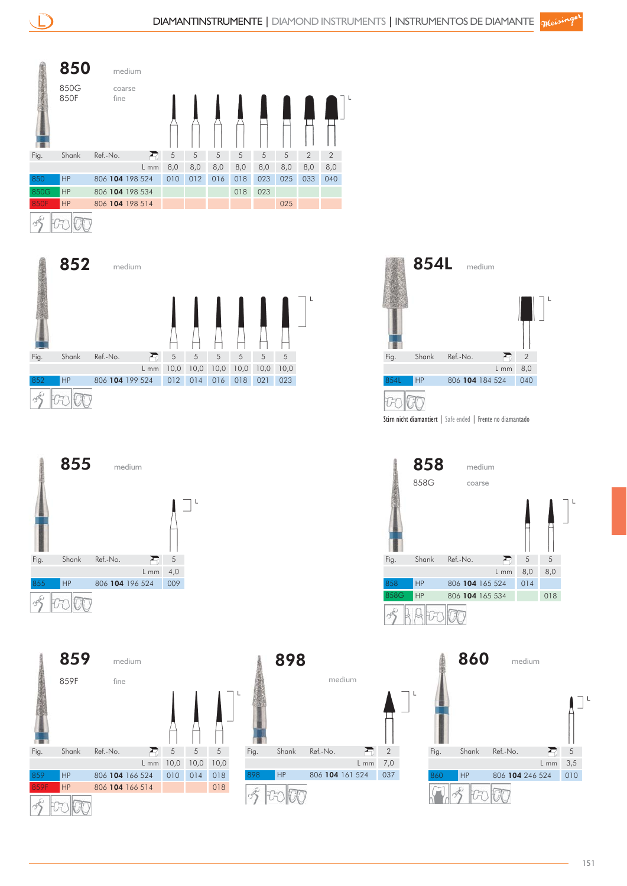

## to lif











Stirn nicht diamantiert | Safe ended | Frente no diamantado



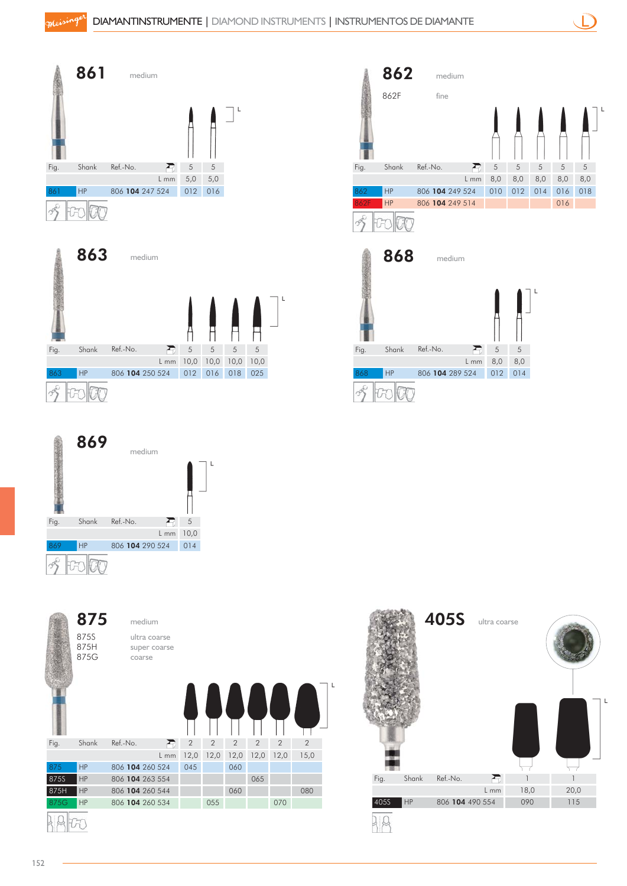

5 8,0













862F fine

R)

862 medium